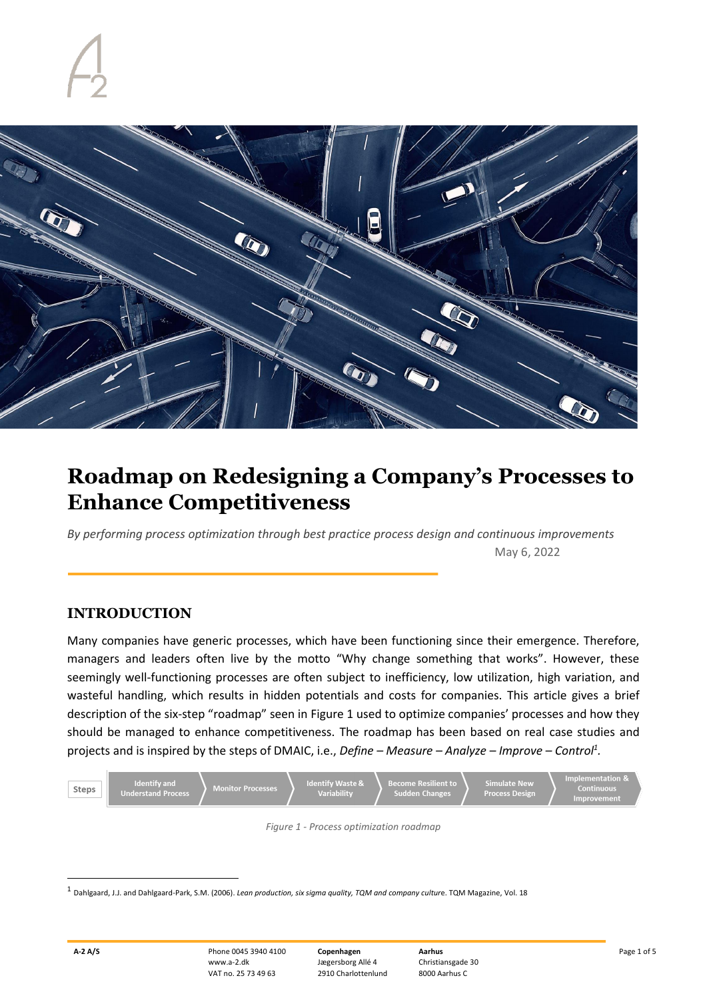

# **Roadmap on Redesigning a Company's Processes to Enhance Competitiveness**

*By performing process optimization through best practice process design and continuous improvements* May 6, 2022

#### **INTRODUCTION**

Many companies have generic processes, which have been functioning since their emergence. Therefore, managers and leaders often live by the motto "Why change something that works". However, these seemingly well-functioning processes are often subject to inefficiency, low utilization, high variation, and wasteful handling, which results in hidden potentials and costs for companies. This article gives a brief description of the six-step "roadmap" seen in Figure 1 used to optimize companies' processes and how they should be managed to enhance competitiveness. The roadmap has been based on real case studies and projects and is inspired by the steps of DMAIC, i.e., *Define – Measure – Analyze – Improve – Control<sup>1</sup> .*



*Figure 1 - Process optimization roadmap*

<sup>1</sup> Dahlgaard, J.J. and Dahlgaard-Park, S.M. (2006). *Lean production, six sigma quality, TQM and company cultur*e. TQM Magazine, Vol. 18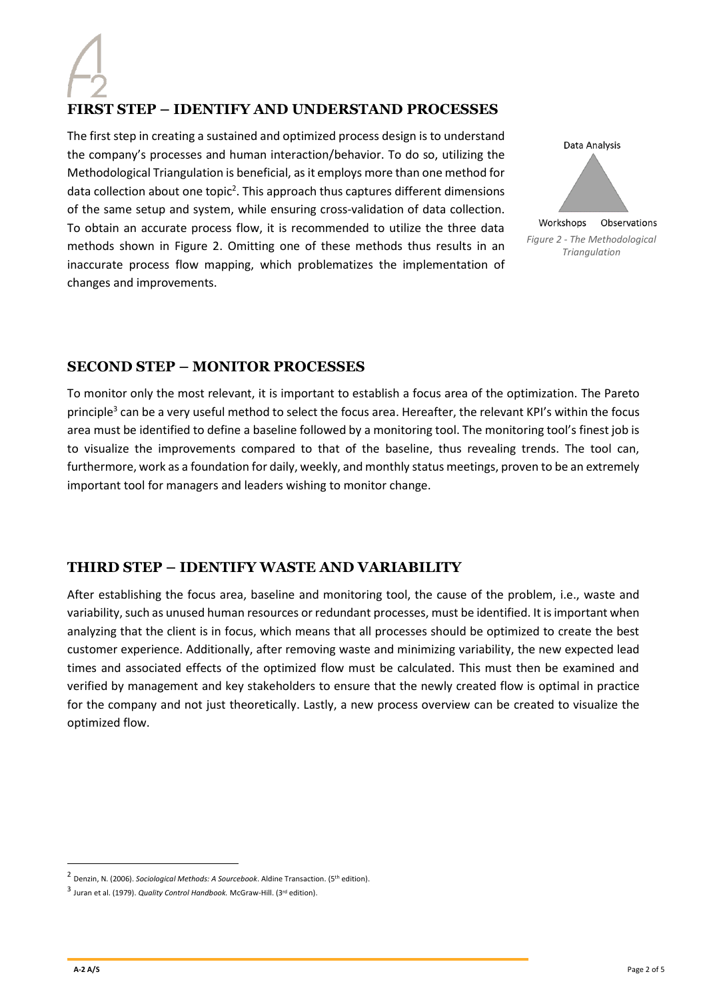## **FIRST STEP – IDENTIFY AND UNDERSTAND PROCESSES**

The first step in creating a sustained and optimized process design is to understand the company's processes and human interaction/behavior. To do so, utilizing the Methodological Triangulation is beneficial, as it employs more than one method for data collection about one topic<sup>2</sup>. This approach thus captures different dimensions of the same setup and system, while ensuring cross-validation of data collection. To obtain an accurate process flow, it is recommended to utilize the three data methods shown in Figure 2. Omitting one of these methods thus results in an inaccurate process flow mapping, which problematizes the implementation of changes and improvements.



#### **SECOND STEP – MONITOR PROCESSES**

To monitor only the most relevant, it is important to establish a focus area of the optimization. The Pareto principle<sup>3</sup> can be a very useful method to select the focus area. Hereafter, the relevant KPI's within the focus area must be identified to define a baseline followed by a monitoring tool. The monitoring tool's finest job is to visualize the improvements compared to that of the baseline, thus revealing trends. The tool can, furthermore, work as a foundation for daily, weekly, and monthly status meetings, proven to be an extremely important tool for managers and leaders wishing to monitor change.

## **THIRD STEP – IDENTIFY WASTE AND VARIABILITY**

After establishing the focus area, baseline and monitoring tool, the cause of the problem, i.e., waste and variability, such as unused human resources or redundant processes, must be identified. It is important when analyzing that the client is in focus, which means that all processes should be optimized to create the best customer experience. Additionally, after removing waste and minimizing variability, the new expected lead times and associated effects of the optimized flow must be calculated. This must then be examined and verified by management and key stakeholders to ensure that the newly created flow is optimal in practice for the company and not just theoretically. Lastly, a new process overview can be created to visualize the optimized flow.

<sup>2</sup> Denzin, N. (2006). *Sociological Methods: A Sourcebook*. Aldine Transaction. (5th edition).

<sup>3</sup> Juran et al. (1979). *Quality Control Handbook.* McGraw-Hill. (3rd edition).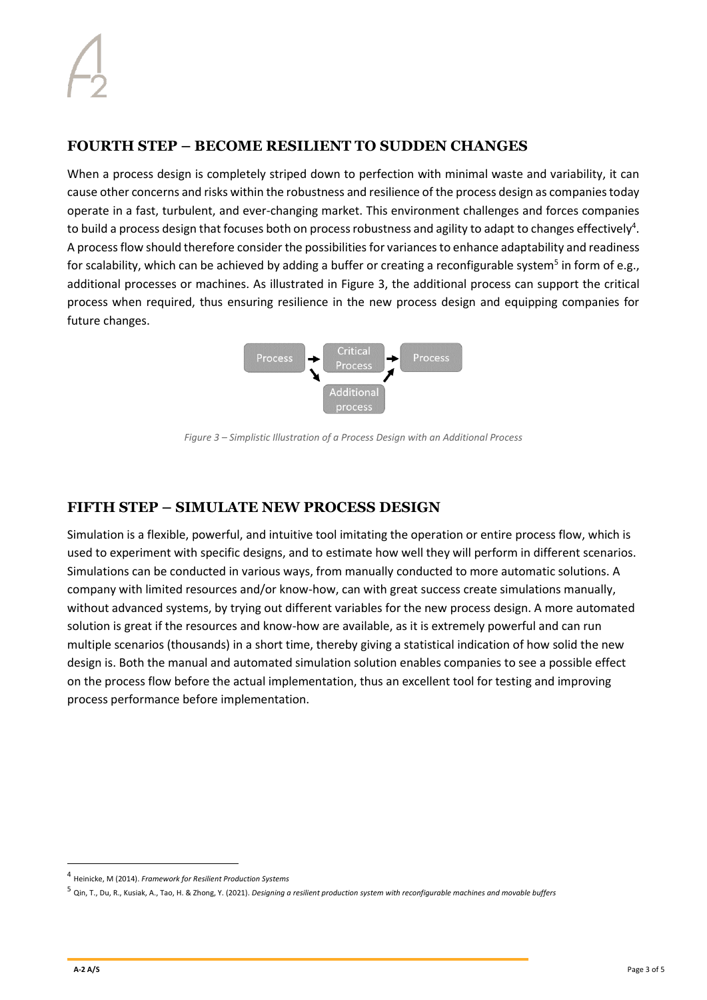## **FOURTH STEP – BECOME RESILIENT TO SUDDEN CHANGES**

When a process design is completely striped down to perfection with minimal waste and variability, it can cause other concerns and risks within the robustness and resilience of the process design as companies today operate in a fast, turbulent, and ever-changing market. This environment challenges and forces companies to build a process design that focuses both on process robustness and agility to adapt to changes effectively<sup>4</sup>. A process flow should therefore consider the possibilities for variances to enhance adaptability and readiness for scalability, which can be achieved by adding a buffer or creating a reconfigurable system<sup>5</sup> in form of e.g., additional processes or machines. As illustrated in Figure 3, the additional process can support the critical process when required, thus ensuring resilience in the new process design and equipping companies for future changes.



*Figure 3 – Simplistic Illustration of a Process Design with an Additional Process*

#### **FIFTH STEP – SIMULATE NEW PROCESS DESIGN**

Simulation is a flexible, powerful, and intuitive tool imitating the operation or entire process flow, which is used to experiment with specific designs, and to estimate how well they will perform in different scenarios. Simulations can be conducted in various ways, from manually conducted to more automatic solutions. A company with limited resources and/or know-how, can with great success create simulations manually, without advanced systems, by trying out different variables for the new process design. A more automated solution is great if the resources and know-how are available, as it is extremely powerful and can run multiple scenarios (thousands) in a short time, thereby giving a statistical indication of how solid the new design is. Both the manual and automated simulation solution enables companies to see a possible effect on the process flow before the actual implementation, thus an excellent tool for testing and improving process performance before implementation.

<sup>4</sup> Heinicke, M (2014). *Framework for Resilient Production Systems*

<sup>5</sup> Qin, T., Du, R., Kusiak, A., Tao, H. & Zhong, Y. (2021). *Designing a resilient production system with reconfigurable machines and movable buffers*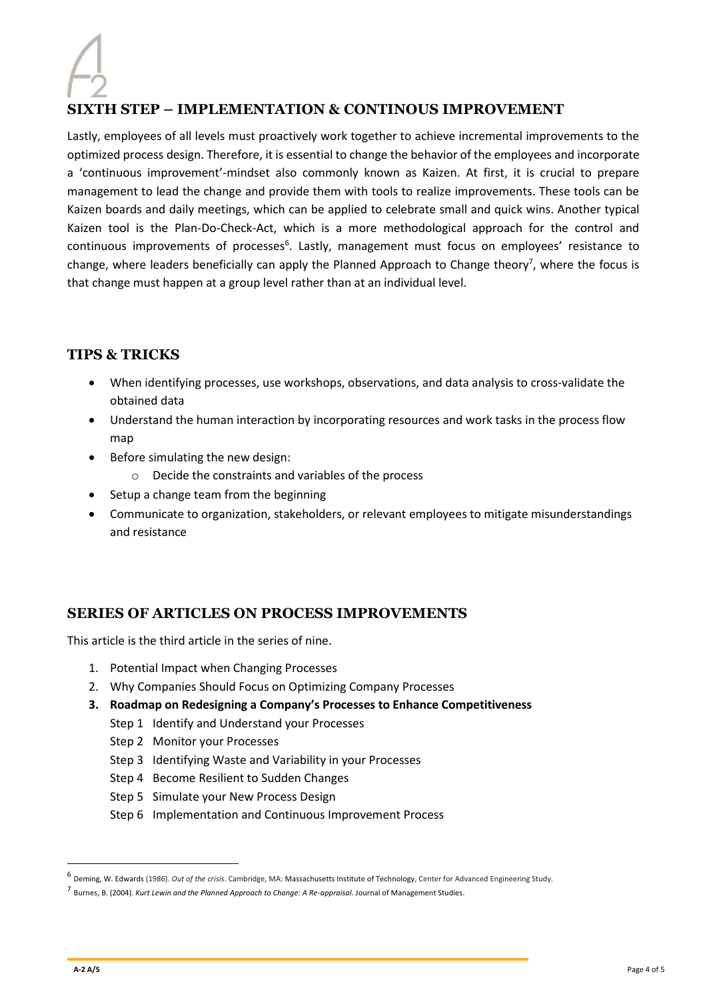## **SIXTH STEP – IMPLEMENTATION & CONTINOUS IMPROVEMENT**

Lastly, employees of all levels must proactively work together to achieve incremental improvements to the optimized process design. Therefore, it is essential to change the behavior of the employees and incorporate a 'continuous improvement'-mindset also commonly known as Kaizen. At first, it is crucial to prepare management to lead the change and provide them with tools to realize improvements. These tools can be Kaizen boards and daily meetings, which can be applied to celebrate small and quick wins. Another typical Kaizen tool is the Plan-Do-Check-Act, which is a more methodological approach for the control and continuous improvements of processes<sup>6</sup>. Lastly, management must focus on employees' resistance to change, where leaders beneficially can apply the Planned Approach to Change theory<sup>7</sup>, where the focus is that change must happen at a group level rather than at an individual level.

#### **TIPS & TRICKS**

- When identifying processes, use workshops, observations, and data analysis to cross-validate the obtained data
- Understand the human interaction by incorporating resources and work tasks in the process flow map
- Before simulating the new design:
	- o Decide the constraints and variables of the process
- Setup a change team from the beginning
- Communicate to organization, stakeholders, or relevant employees to mitigate misunderstandings and resistance

## **SERIES OF ARTICLES ON PROCESS IMPROVEMENTS**

This article is the third article in the series of nine.

- 1. Potential Impact when Changing Processes
- 2. Why Companies Should Focus on Optimizing Company Processes
- **3. Roadmap on Redesigning a Company's Processes to Enhance Competitiveness**
	- Step 1 Identify and Understand your Processes
		- Step 2 Monitor your Processes
		- Step 3 Identifying Waste and Variability in your Processes
		- Step 4 Become Resilient to Sudden Changes
		- Step 5 Simulate your New Process Design
		- Step 6 Implementation and Continuous Improvement Process

<sup>6</sup> Deming, W. Edwards (1986). *Out of the crisis*. Cambridge, MA: Massachusetts Institute of Technology, Center for Advanced Engineering Study.

<sup>7</sup> Burnes, B. (2004). *Kurt Lewin and the Planned Approach to Change: A Re-appraisal*. Journal of Management Studies.